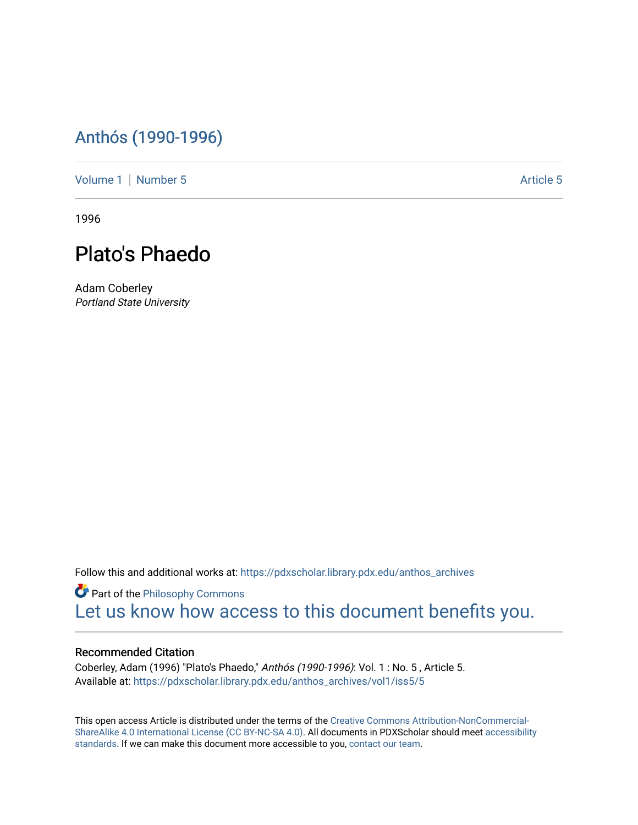## [Anthós \(1990-1996\)](https://pdxscholar.library.pdx.edu/anthos_archives)

[Volume 1](https://pdxscholar.library.pdx.edu/anthos_archives/vol1) | [Number 5](https://pdxscholar.library.pdx.edu/anthos_archives/vol1/iss5) Article 5

1996



Adam Coberley Portland State University

Follow this and additional works at: [https://pdxscholar.library.pdx.edu/anthos\\_archives](https://pdxscholar.library.pdx.edu/anthos_archives?utm_source=pdxscholar.library.pdx.edu%2Fanthos_archives%2Fvol1%2Fiss5%2F5&utm_medium=PDF&utm_campaign=PDFCoverPages)

**P** Part of the Philosophy Commons [Let us know how access to this document benefits you.](http://library.pdx.edu/services/pdxscholar-services/pdxscholar-feedback/) 

## Recommended Citation

Coberley, Adam (1996) "Plato's Phaedo," Anthós (1990-1996): Vol. 1 : No. 5 , Article 5. Available at: [https://pdxscholar.library.pdx.edu/anthos\\_archives/vol1/iss5/5](https://pdxscholar.library.pdx.edu/anthos_archives/vol1/iss5/5?utm_source=pdxscholar.library.pdx.edu%2Fanthos_archives%2Fvol1%2Fiss5%2F5&utm_medium=PDF&utm_campaign=PDFCoverPages) 

This open access Article is distributed under the terms of the [Creative Commons Attribution-NonCommercial-](https://creativecommons.org/licenses/by-nc-sa/4.0/)[ShareAlike 4.0 International License \(CC BY-NC-SA 4.0\).](https://creativecommons.org/licenses/by-nc-sa/4.0/) All documents in PDXScholar should meet [accessibility](https://pdxscholar.library.pdx.edu/accessibility.html) [standards](https://pdxscholar.library.pdx.edu/accessibility.html). If we can make this document more accessible to you, [contact our team.](mailto:pdxscholar@pdx.edu)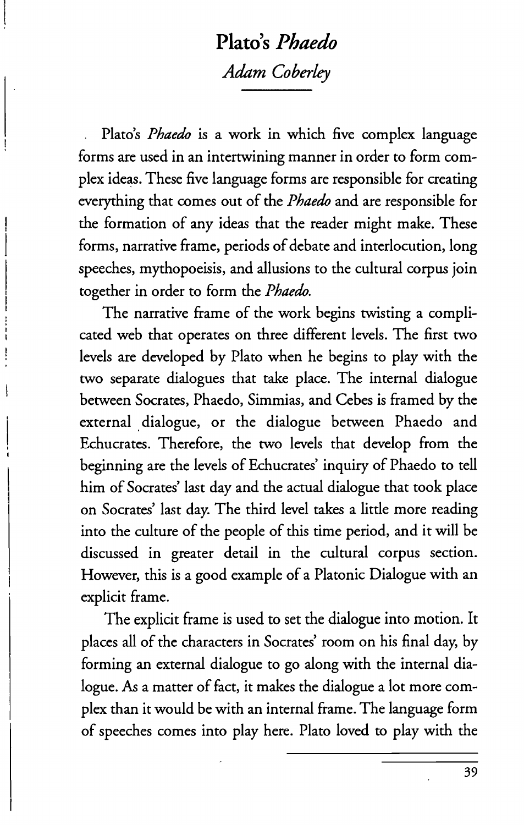## **Plato's** *Phaedo Adam Coberley*

Plato's *Phacdo* is a work in which five complex language forms are used in an intertwining manner in order to form complex ideas. These five language forms are responsible for creating everything that comes out of the *Phaedo* and are responsible for the formation of any ideas that the reader might make. These forms, narrative frame, periods of debate and interlocution, long speeches, mythopoeisis, and allusions to the cultural corpus join together in order to form the *Phaedo.* 

The narrative frame of the work begins twisting a complicated web that operates on three different levels. The first two levels are developed by Plato when he begins to play with the two separate dialogues that take place. The internal dialogue between Socrates, Phaedo, Simmias, and Cebes is framed by the external dialogue, or the dialogue between Phaedo and Echucrates. Therefore, the two levels that develop from the beginning are the levels of Echucrates' inquiry of Phaedo to tell him of Socrates' last day and the actual dialogue that took place on Socrates' last day. The third level takes a little more reading into the culture of the people of this time period, and it will be discussed in greater detail in the cultural corpus section. However, this is a good example of a Platonic Dialogue with an explicit frame.

The explicit frame is used to set the dialogue into motion. It places all of the characters in Socrates' room on his final day, by forming an external dialogue to go along with the internal dialogue. As a matter of fact, it makes the dialogue a lot more complex than it would be with an internal frame. The language form of speeches comes into play here. Plato loved to play with the

39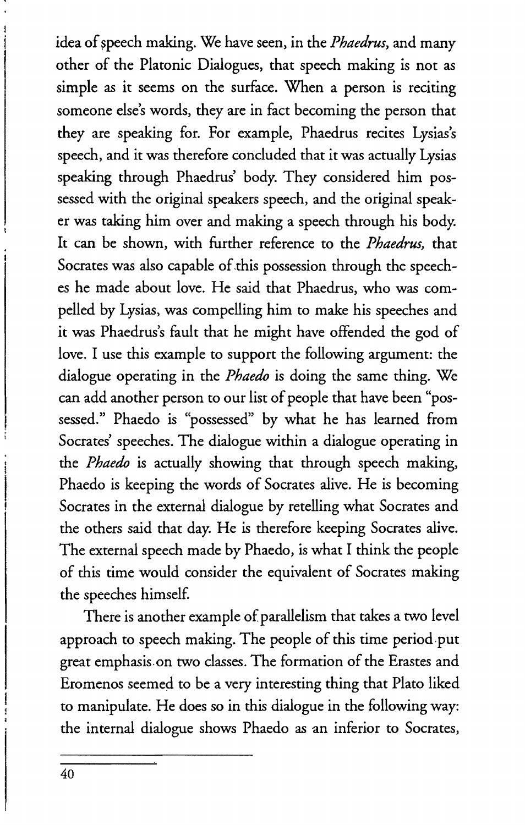idea of speech making. We have seen, in the *Phaedrus*, and many other of the Platonic Dialogues, that speech making is not as simple as it seems on the surface. When a person is reciting someone else's words, they are in fact becoming the person that they are speaking for. For example, Phaedrus recites Lysias's speech, and it was therefore concluded that it was actually Lysias speaking through Phaedrus' body. They considered him possessed with the original speakers speech, and the original speaker was taking him over and making a speech through his body. It can be shown, with further reference to the *Phaedrus,* that Socrates was also capable of this possession through the speeches he made about love. He said that Phaedrus, who was compelled by Lysias, was compelling him to make his speeches and it was Phaedrus's fault that he might have offended the god of love. I use this example to support the following argument: the dialogue operating in the *Phaedo* is doing the same thing. We can add another person to our list of people that have been "possessed." Phaedo is "possessed" by what he has learned from Socrates' speeches. The dialogue within a dialogue operating in the *Phaedo* is actually showing that through speech making, Phaedo is keeping the words of Socrates alive. He is becoming Socrates in the external dialogue by retelling what Socrates and the others said that day. He is therefore keeping Socrates alive. The external speech made by Phaedo, is what I think the people of this time would consider the equivalent of Socrates making the speeches himself

There is another example of parallelism that takes a two level approach to speech making. The people of this time period put great emphasis on two classes. The formation of the Erastes and Eromenos seemed to be a very interesting thing that Plato liked to manipulate. He does so in this dialogue in the following way: the internal dialogue shows Phaedo as an inferior to Socrates,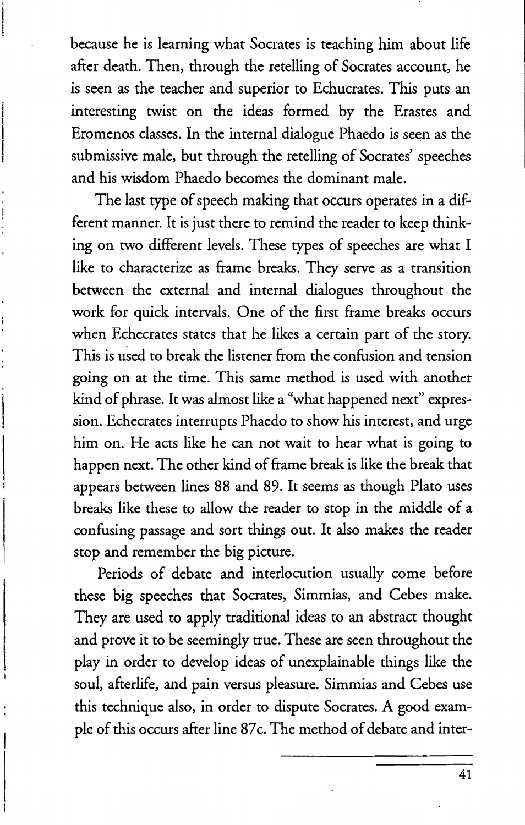because he is learning what Socrates is teaching him about life after death. Then, through the retelling of Socrates account, he is seen as the teacher and superior to Echucrates. This puts an interesting twist on the ideas formed by the Erastes and Eromenos classes. In the internal dialogue Phaedo is seen as the submissive male, but through the retelling of Socrates' speeches and his wisdom Phaedo becomes the dominant male.

The last type of speech making that occurs operates in a different manner. It is just there to remind the reader to keep thinking on two different levels. These types of speeches are what I like to characterize as frame breaks. They serve as a transition between the external and internal dialogues throughout the work for quick intervals. One of the first frame breaks occurs when Echecrates states that he likes a certain part of the story. This is used to break the listener from the confusion and tension going on at the time. This same method is used with another kind of phrase. It was almost like a "what happened next" expression. Echecrates interrupts Phaedo to show his interest, and urge him on. He acts like he can not wait to hear what is going to happen next. The other kind of frame break is like the break that appears between lines 88 and 89. It seems as though Plato uses breaks like these to allow the reader to stop in the middle of a confusing passage and sort things out. It also makes the reader stop and remember the big picture.

Periods of debate and interlocution usually come before these big speeches that Socrates, Simmias, and Cebes make. They are used to apply traditional ideas to an abstract thought and prove it to be seemingly true. These are seen throughout the play in order to develop ideas of unexplainable things like the soul, afterlife, and pain versus pleasure. Simmias and Cebes use this technique also, in order to dispute Socrates. A good example of this occurs after line 87c. The method of debate and inter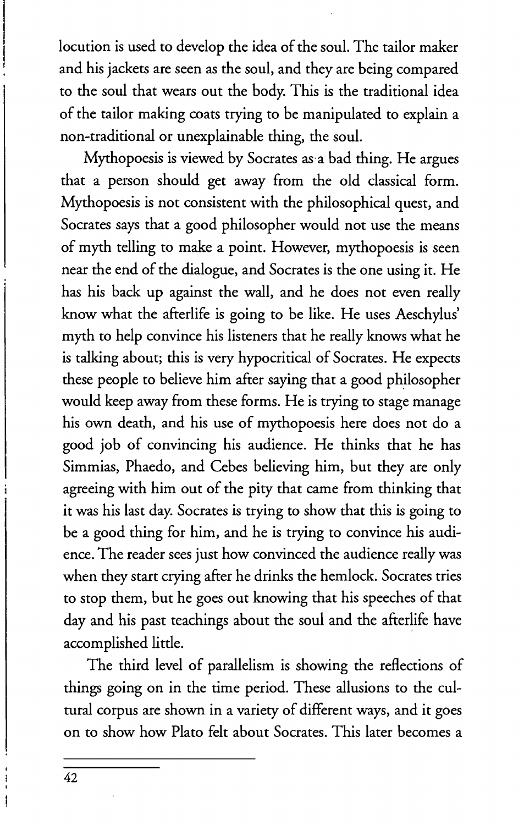locution is used to develop the idea of the soul. The tailor maker and his jackets are seen as the soul, and they are being compared to the soul that wears out the body. This is the traditional idea of the tailor making coats trying to be manipulated to explain a non-traditional or unexplainable thing, the soul.

Mythopoesis is viewed by Socrates as' a bad thing. He argues that a person should get away from the old classical form. Mythopoesis is not consistent with the philosophical quest, and Socrates says that a good philosopher would not use the means of myth telling to make a point. However, mythopoesis is seen near the end of the dialogue, and Socrates is the one using it. He has his back up against the wall, and he does not even really know what the afterlife is going to be like. He uses Aeschylus' myth to help convince his listeners that he really knows what he is talking about; this is very hypocritical of Socrates. He expects these people to believe him after saying that a good philosopher would keep away from these forms. He is trying to stage manage his own death, and his use of mythopoesis here does not do a good job of convincing his audience. He thinks that he has Simmias, Phaedo, and Cebes believing him, but they are only agreeing with him out of the pity that came from thinking that it was his last day. Socrates is trying to show that this is going to be a good thing for him, and he is trying to convince his audience. The reader sees just how convinced the audience really was when they start crying after he drinks the hemlock. Socrates tries to stop them, but he goes out knowing that his speeches of that day and his past teachings about the soul and the afterlife have accomplished little.

The third level of parallelism is showing the reflections of things going on in the time period. These allusions to the cultural corpus are shown in a variety of different ways, and it goes on to show how Plato felt about Socrates. This later becomes a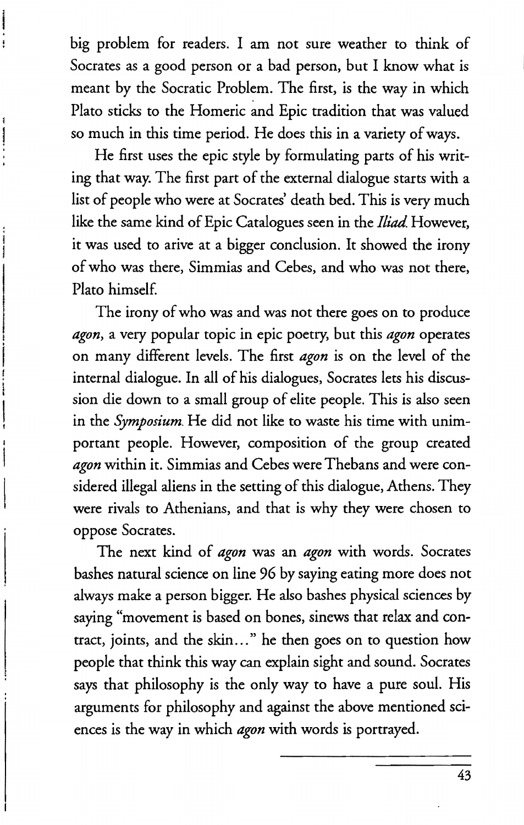big problem for readers. I am not sure weather to think of Socrates as a good person or a bad person, but I know what is meant by the Socratic Problem. The first, is the way in which Plato sticks to the Homeric and Epic tradition that was valued so much in this time period. He does this in a variety of ways.

He first uses the epic style by formulating parts of his writing that way. The first part of the external dialogue starts with a list of people who were at Socrates' death bed. This is very much like the same kind of Epic Catalogues seen in the *Iliad.* However, it was used to arive at a bigger conclusion. It showed the irony of who was there, Simmias and Cebes, and who was not there, Plato himself

The irony of who was and was not there goes on to produce *agon,* a very popular topic in epic poetry, but this *agon* operates on many different levels. The first *agon* is on the level of the internal dialogue. In all of his dialogues, Socrates lets his discussion die down to a small group of elite people. This is also seen in the *Symposium.* He did not like to waste his time with unimportant people. However, composition of the group created *agon* within it. Simmias and Cebes were Thebans and were considered illegal aliens in the setting of this dialogue, Athens. They were rivals to Athenians, and that is why they were chosen to oppose Socrates.

The next kind of *agon* was an *agon* with words. Socrates bashes natural science on line 96 by saying eating more does not always make a person bigger. He also bashes physical sciences by saying "movement is based on bones, sinews that relax and contract, joints, and the skin ... " he then goes on to question how people that think this way can explain sight and sound. Socrates says that philosophy is the only way to have a pure soul. His arguments for philosophy and against the above mentioned sciences is the way in which *agon* with words is portrayed.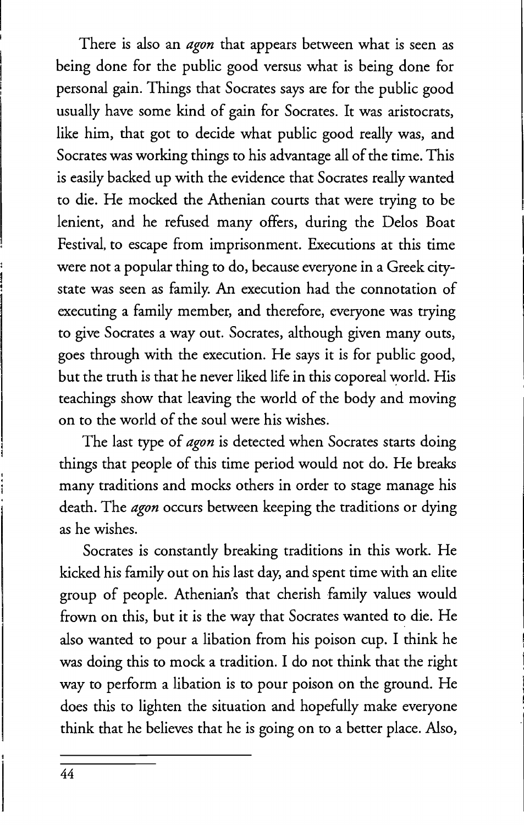There is also an *agon* that appears between what is seen as being done for the public good versus what is being done for personal gain. Things that Socrates says are for the public good usually have some kind of gain for Socrates. It was aristocrats, like him, that got to decide what public good really was, and Socrates was working things to his advantage all of the time. This is easily backed up with the evidence that Socrates really wanted to die. He mocked the Athenian courts that were trying to be lenient, and he refused many offers, during the Delos Boat Festival, to escape from imprisonment. Executions at this time were not a popular thing to do, because everyone in a Greek citystate was seen as family. An execution had the connotation of executing a family member, and therefore, everyone was trying to give Socrates a way out. Socrates, although given many outs, goes through with the execution. He says it is for public good, but the truth is that he never liked life in this coporeal world. His teachings show that leaving the world of the body and moving on to the world of the soul were his wishes.

The last type of *agon* is detected when Socrates starts doing things that people of this time period would not do. He breaks many traditions and mocks others in order to stage manage his death. The *agon* occurs between keeping the traditions or dying as he wishes.

Socrates is constantly breaking traditions in this work. He kicked his family out on his last day, and spent time with an elite group of people. Athenian's that cherish family values would frown on this, but it is the way that Socrates wanted to die. He also wanted to pour a libation from his poison cup. I think he was doing this to mock a tradition. I do not think that the right way to perform a libation is to pour poison on the ground. He does this to lighten the situation and hopefully make everyone think that he believes that he is going on to a better place. Also,